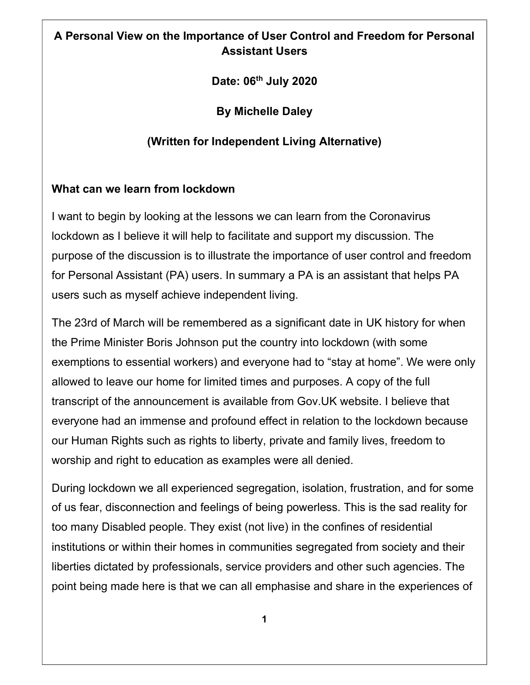# A Personal View on the Importance of User Control and Freedom for Personal Assistant Users

Date: 06<sup>th</sup> July 2020

By Michelle Daley

# (Written for Independent Living Alternative)

### What can we learn from lockdown

I want to begin by looking at the lessons we can learn from the Coronavirus lockdown as I believe it will help to facilitate and support my discussion. The purpose of the discussion is to illustrate the importance of user control and freedom for Personal Assistant (PA) users. In summary a PA is an assistant that helps PA users such as myself achieve independent living.

The 23rd of March will be remembered as a significant date in UK history for when the Prime Minister Boris Johnson put the country into lockdown (with some exemptions to essential workers) and everyone had to "stay at home". We were only allowed to leave our home for limited times and purposes. A copy of the full transcript of the announcement is available from Gov.UK website. I believe that everyone had an immense and profound effect in relation to the lockdown because our Human Rights such as rights to liberty, private and family lives, freedom to worship and right to education as examples were all denied.

During lockdown we all experienced segregation, isolation, frustration, and for some of us fear, disconnection and feelings of being powerless. This is the sad reality for too many Disabled people. They exist (not live) in the confines of residential institutions or within their homes in communities segregated from society and their liberties dictated by professionals, service providers and other such agencies. The point being made here is that we can all emphasise and share in the experiences of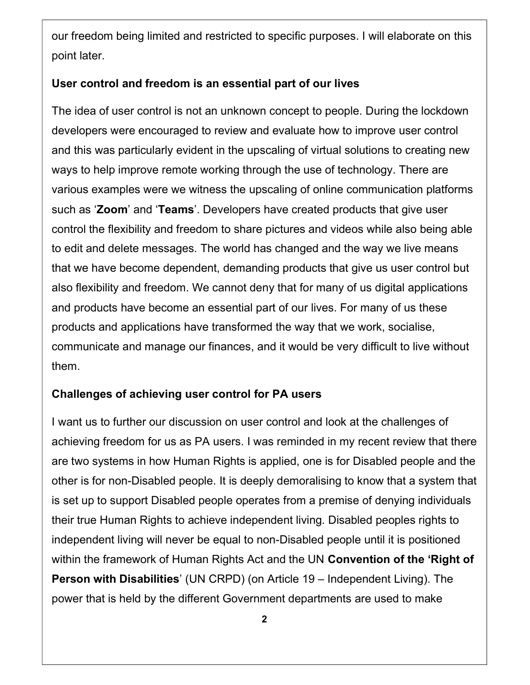our freedom being limited and restricted to specific purposes. I will elaborate on this point later.

#### User control and freedom is an essential part of our lives

The idea of user control is not an unknown concept to people. During the lockdown developers were encouraged to review and evaluate how to improve user control and this was particularly evident in the upscaling of virtual solutions to creating new ways to help improve remote working through the use of technology. There are various examples were we witness the upscaling of online communication platforms such as 'Zoom' and 'Teams'. Developers have created products that give user control the flexibility and freedom to share pictures and videos while also being able to edit and delete messages. The world has changed and the way we live means that we have become dependent, demanding products that give us user control but also flexibility and freedom. We cannot deny that for many of us digital applications and products have become an essential part of our lives. For many of us these products and applications have transformed the way that we work, socialise, communicate and manage our finances, and it would be very difficult to live without them.

#### Challenges of achieving user control for PA users

I want us to further our discussion on user control and look at the challenges of achieving freedom for us as PA users. I was reminded in my recent review that there are two systems in how Human Rights is applied, one is for Disabled people and the other is for non-Disabled people. It is deeply demoralising to know that a system that is set up to support Disabled people operates from a premise of denying individuals their true Human Rights to achieve independent living. Disabled peoples rights to independent living will never be equal to non-Disabled people until it is positioned within the framework of Human Rights Act and the UN Convention of the 'Right of Person with Disabilities' (UN CRPD) (on Article 19 – Independent Living). The power that is held by the different Government departments are used to make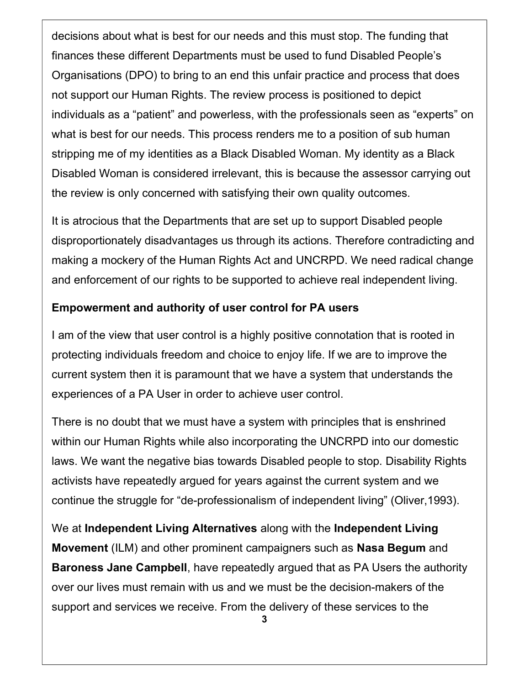decisions about what is best for our needs and this must stop. The funding that finances these different Departments must be used to fund Disabled People's Organisations (DPO) to bring to an end this unfair practice and process that does not support our Human Rights. The review process is positioned to depict individuals as a "patient" and powerless, with the professionals seen as "experts" on what is best for our needs. This process renders me to a position of sub human stripping me of my identities as a Black Disabled Woman. My identity as a Black Disabled Woman is considered irrelevant, this is because the assessor carrying out the review is only concerned with satisfying their own quality outcomes.

It is atrocious that the Departments that are set up to support Disabled people disproportionately disadvantages us through its actions. Therefore contradicting and making a mockery of the Human Rights Act and UNCRPD. We need radical change and enforcement of our rights to be supported to achieve real independent living.

### Empowerment and authority of user control for PA users

I am of the view that user control is a highly positive connotation that is rooted in protecting individuals freedom and choice to enjoy life. If we are to improve the current system then it is paramount that we have a system that understands the experiences of a PA User in order to achieve user control.

There is no doubt that we must have a system with principles that is enshrined within our Human Rights while also incorporating the UNCRPD into our domestic laws. We want the negative bias towards Disabled people to stop. Disability Rights activists have repeatedly argued for years against the current system and we continue the struggle for "de-professionalism of independent living" (Oliver,1993).

We at Independent Living Alternatives along with the Independent Living Movement (ILM) and other prominent campaigners such as Nasa Begum and Baroness Jane Campbell, have repeatedly argued that as PA Users the authority over our lives must remain with us and we must be the decision-makers of the support and services we receive. From the delivery of these services to the

<sup>3</sup>